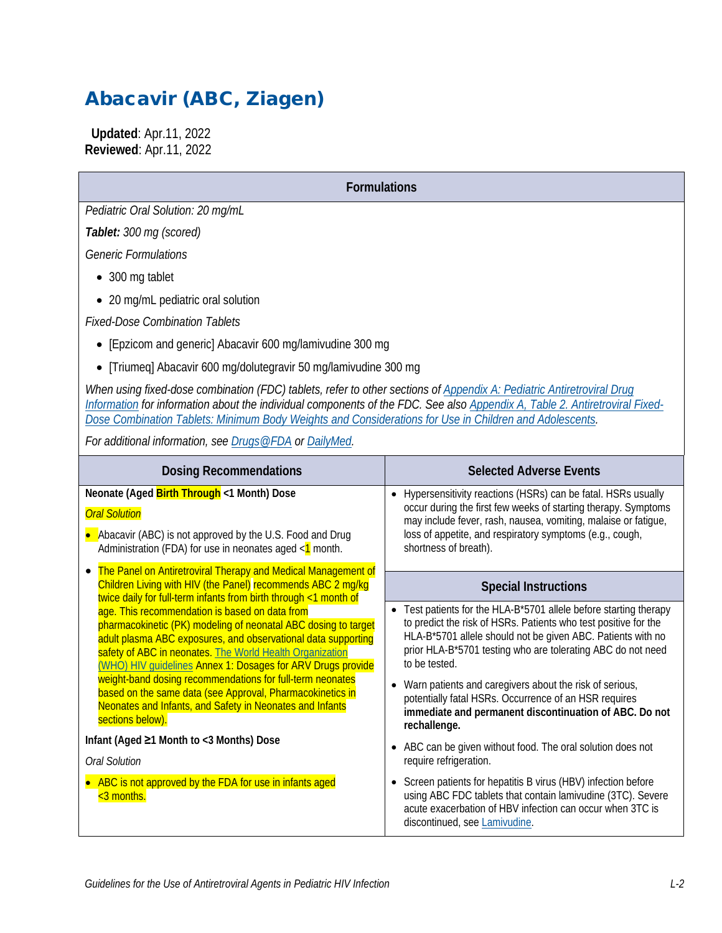# Abacavir (ABC, Ziagen)

 **Updated**: Apr.11, 2022 **Reviewed**: Apr.11, 2022

**Formulations**

*Pediatric Oral Solution: 20 mg/mL*

*Tablet: 300 mg (scored)*

*Generic Formulations*

- 300 mg tablet
- 20 mg/mL pediatric oral solution

*Fixed-Dose Combination Tablets*

- [Epzicom and generic] Abacavir 600 mg/lamivudine 300 mg
- [Triumeq] Abacavir 600 mg/dolutegravir 50 mg/lamivudine 300 mg

*When using fixed-dose combination (FDC) tablets, refer to other sections of [Appendix A: Pediatric Antiretroviral Drug](https://clinicalinfo.hiv.gov/en/guidelines/pediatric-arv/overview-0)  [Information](https://clinicalinfo.hiv.gov/en/guidelines/pediatric-arv/overview-0) for information about the individual components of the FDC. See also Appendix [A, Table 2. Antiretroviral Fixed-](https://clinicalinfo.hiv.gov/en/guidelines/pediatric-arv/appendix-table-2-antiretroviral-fixed-dose-combination-tablets-minimum)Dose [Combination Tablets: Minimum Body Weights and Considerations for Use in Children and Adolescents.](https://clinicalinfo.hiv.gov/en/guidelines/pediatric-arv/appendix-table-2-antiretroviral-fixed-dose-combination-tablets-minimum)*

*For additional information, see [Drugs@FDA](https://www.accessdata.fda.gov/scripts/cder/daf/) or [DailyMed.](https://dailymed.nlm.nih.gov/dailymed/)* 

| <b>Dosing Recommendations</b>                                                                                                                                                                                                                                                                                                                                                                                                                                                                                                                                                                                                                                                                                                                                                                  | <b>Selected Adverse Events</b>                                                                                                                                                                                                                                                                     |
|------------------------------------------------------------------------------------------------------------------------------------------------------------------------------------------------------------------------------------------------------------------------------------------------------------------------------------------------------------------------------------------------------------------------------------------------------------------------------------------------------------------------------------------------------------------------------------------------------------------------------------------------------------------------------------------------------------------------------------------------------------------------------------------------|----------------------------------------------------------------------------------------------------------------------------------------------------------------------------------------------------------------------------------------------------------------------------------------------------|
| Neonate (Aged Birth Through <1 Month) Dose<br><b>Oral Solution</b><br>• Abacavir (ABC) is not approved by the U.S. Food and Drug<br>Administration (FDA) for use in neonates aged $\leq 1$ month.                                                                                                                                                                                                                                                                                                                                                                                                                                                                                                                                                                                              | Hypersensitivity reactions (HSRs) can be fatal. HSRs usually<br>$\bullet$<br>occur during the first few weeks of starting therapy. Symptoms<br>may include fever, rash, nausea, vomiting, malaise or fatigue,<br>loss of appetite, and respiratory symptoms (e.g., cough,<br>shortness of breath). |
| The Panel on Antiretroviral Therapy and Medical Management of<br>Children Living with HIV (the Panel) recommends ABC 2 mg/kg<br>twice daily for full-term infants from birth through <1 month of<br>age. This recommendation is based on data from<br>pharmacokinetic (PK) modeling of neonatal ABC dosing to target<br>adult plasma ABC exposures, and observational data supporting<br>safety of ABC in neonates. The World Health Organization<br>(WHO) HIV guidelines Annex 1: Dosages for ARV Drugs provide<br>weight-band dosing recommendations for full-term neonates<br>based on the same data (see Approval, Pharmacokinetics in<br>Neonates and Infants, and Safety in Neonates and Infants<br>sections below).<br>Infant (Aged ≥1 Month to <3 Months) Dose<br><b>Oral Solution</b> | <b>Special Instructions</b>                                                                                                                                                                                                                                                                        |
|                                                                                                                                                                                                                                                                                                                                                                                                                                                                                                                                                                                                                                                                                                                                                                                                | Test patients for the HLA-B*5701 allele before starting therapy<br>$\bullet$<br>to predict the risk of HSRs. Patients who test positive for the<br>HLA-B*5701 allele should not be given ABC. Patients with no<br>prior HLA-B*5701 testing who are tolerating ABC do not need<br>to be tested.     |
|                                                                                                                                                                                                                                                                                                                                                                                                                                                                                                                                                                                                                                                                                                                                                                                                | Warn patients and caregivers about the risk of serious,<br>$\bullet$<br>potentially fatal HSRs. Occurrence of an HSR requires<br>immediate and permanent discontinuation of ABC. Do not<br>rechallenge.                                                                                            |
|                                                                                                                                                                                                                                                                                                                                                                                                                                                                                                                                                                                                                                                                                                                                                                                                | ABC can be given without food. The oral solution does not<br>$\bullet$<br>require refrigeration.                                                                                                                                                                                                   |
| • ABC is not approved by the FDA for use in infants aged<br><3 months.                                                                                                                                                                                                                                                                                                                                                                                                                                                                                                                                                                                                                                                                                                                         | Screen patients for hepatitis B virus (HBV) infection before<br>$\bullet$<br>using ABC FDC tablets that contain lamivudine (3TC). Severe<br>acute exacerbation of HBV infection can occur when 3TC is<br>discontinued, see Lamivudine.                                                             |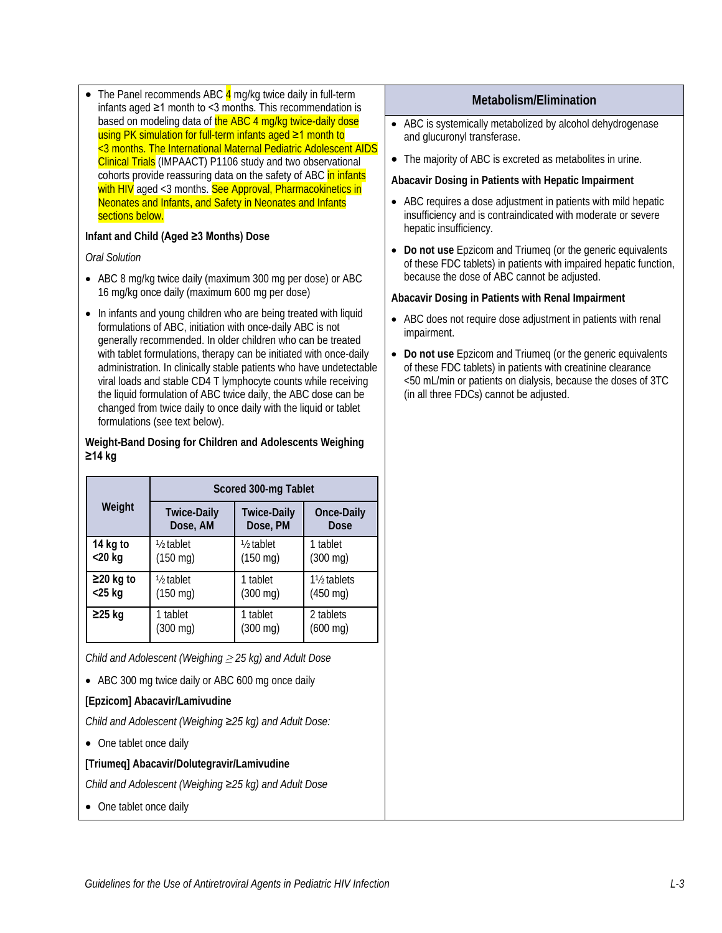• The Panel recommends ABC  $\frac{4}{3}$  mg/kg twice daily in full-term infants aged ≥1 month to <3 months. This recommendation is based on modeling data of the ABC 4 mg/kg twice-daily dose using PK simulation for full-term infants aged ≥1 month to <3 months. The International Maternal Pediatric Adolescent AIDS Clinical Trials (IMPAACT) P1106 study and two observational cohorts provide reassuring data on the safety of ABC in infants with HIV aged <3 months. See Approval, Pharmacokinetics in Neonates and Infants, and Safety in Neonates and Infants sections below.

#### **Infant and Child (Aged ≥3 Months) Dose**

*Oral Solution*

- ABC 8 mg/kg twice daily (maximum 300 mg per dose) or ABC 16 mg/kg once daily (maximum 600 mg per dose)
- In infants and young children who are being treated with liquid formulations of ABC, initiation with once-daily ABC is not generally recommended. In older children who can be treated with tablet formulations, therapy can be initiated with once-daily administration. In clinically stable patients who have undetectable viral loads and stable CD4 T lymphocyte counts while receiving the liquid formulation of ABC twice daily, the ABC dose can be changed from twice daily to once daily with the liquid or tablet formulations (see text below).

#### **Weight-Band Dosing for Children and Adolescents Weighing ≥14 kg**

|                 | Scored 300-mg Tablet |                        |                                       |
|-----------------|----------------------|------------------------|---------------------------------------|
| Weight          | <b>Twice-Daily</b>   | <b>Twice-Daily</b>     | Once-Daily                            |
|                 | Dose, AM             | Dose, PM               | Dose                                  |
| 14 kg to        | $\frac{1}{2}$ tablet | 1/ <sub>2</sub> tablet | 1 tablet                              |
| $<$ 20 kg       | $(150 \text{ mg})$   | $(150 \text{ mg})$     | $(300 \text{ mg})$                    |
| $\geq$ 20 kg to | $\frac{1}{2}$ tablet | 1 tablet               | 1 <sup>1</sup> / <sub>2</sub> tablets |
| $<$ 25 kg       | $(150 \text{ mg})$   | $(300 \text{ mg})$     | $(450 \text{ mg})$                    |
| $\geq$ 25 kg    | 1 tablet             | 1 tablet               | 2 tablets                             |
|                 | $(300 \text{ mg})$   | $(300 \text{ mg})$     | $(600 \text{ mg})$                    |

*Child and Adolescent (Weighing* <sup>≥</sup> *25 kg) and Adult Dose*

• ABC 300 mg twice daily or ABC 600 mg once daily

#### **[Epzicom] Abacavir/Lamivudine**

*Child and Adolescent (Weighing ≥25 kg) and Adult Dose:*

• One tablet once daily

#### **[Triumeq] Abacavir/Dolutegravir/Lamivudine**

*Child and Adolescent (Weighing ≥25 kg) and Adult Dose*

• One tablet once daily

#### **Metabolism/Elimination**

- ABC is systemically metabolized by alcohol dehydrogenase and glucuronyl transferase.
- The majority of ABC is excreted as metabolites in urine.

#### **Abacavir Dosing in Patients with Hepatic Impairment**

- ABC requires a dose adjustment in patients with mild hepatic insufficiency and is contraindicated with moderate or severe hepatic insufficiency.
- **Do not use** Epzicom and Triumeq (or the generic equivalents of these FDC tablets) in patients with impaired hepatic function, because the dose of ABC cannot be adjusted.

#### **Abacavir Dosing in Patients with Renal Impairment**

- ABC does not require dose adjustment in patients with renal impairment.
- **Do not use** Epzicom and Triumeq (or the generic equivalents of these FDC tablets) in patients with creatinine clearance <50 mL/min or patients on dialysis, because the doses of 3TC (in all three FDCs) cannot be adjusted.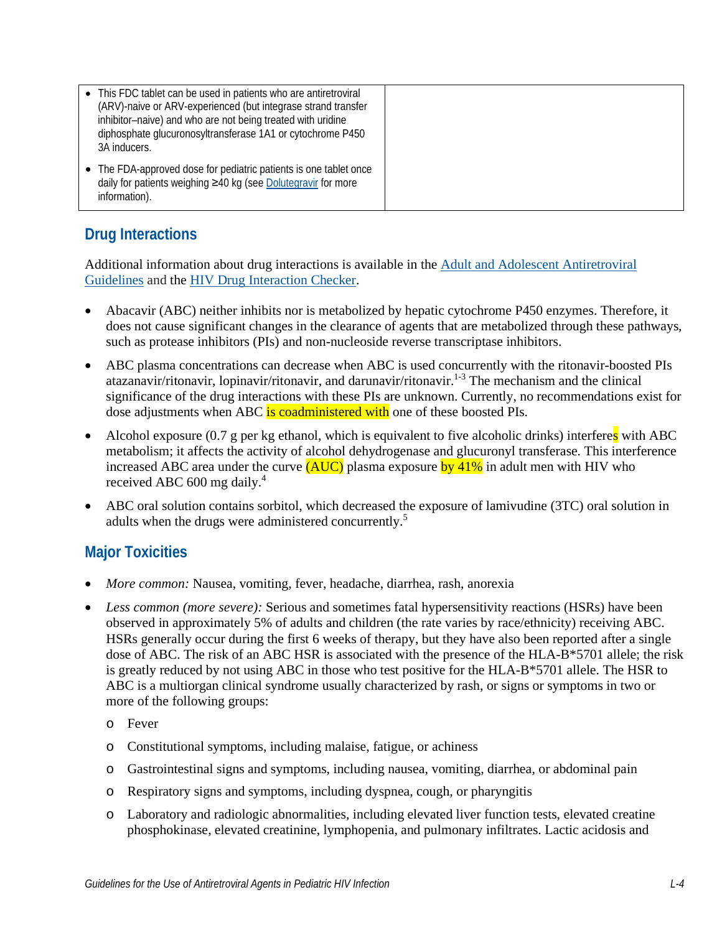| • This FDC tablet can be used in patients who are antiretroviral<br>(ARV)-naive or ARV-experienced (but integrase strand transfer<br>inhibitor-naive) and who are not being treated with uridine<br>diphosphate glucuronosyltransferase 1A1 or cytochrome P450<br>3A inducers. |
|--------------------------------------------------------------------------------------------------------------------------------------------------------------------------------------------------------------------------------------------------------------------------------|
| The FDA-approved dose for pediatric patients is one tablet once<br>daily for patients weighing ≥40 kg (see Dolutegravir for more<br>information).                                                                                                                              |

# **Drug Interactions**

Additional information about drug interactions is available in the [Adult and Adolescent Antiretroviral](https://clinicalinfo.hiv.gov/en/guidelines/adult-and-adolescent-arv/whats-new-guidelines)  [Guidelines](https://clinicalinfo.hiv.gov/en/guidelines/adult-and-adolescent-arv/whats-new-guidelines) and the [HIV Drug Interaction Checker.](https://www.hiv-druginteractions.org/)

- Abacavir (ABC) neither inhibits nor is metabolized by hepatic cytochrome P450 enzymes. Therefore, it does not cause significant changes in the clearance of agents that are metabolized through these pathways, such as protease inhibitors (PIs) and non-nucleoside reverse transcriptase inhibitors.
- ABC plasma concentrations can decrease when ABC is used concurrently with the ritonavir-boosted PIs atazanavir/ritonavir, lopinavir/ritonavir, and darunavir/ritonavir.<sup>[1-3](#page-7-0)</sup> The mechanism and the clinical significance of the drug interactions with these PIs are unknown. Currently, no recommendations exist for dose adjustments when ABC is coadministered with one of these boosted PIs.
- Alcohol exposure  $(0.7 \text{ g per kg ethanol},$  which is equivalent to five alcoholic drinks) interferes with ABC metabolism; it affects the activity of alcohol dehydrogenase and glucuronyl transferase. This interference increased ABC area under the curve (AUC) plasma exposure by 41% in adult men with HIV who received ABC 600 mg daily.[4](#page-7-1)
- ABC oral solution contains sorbitol, which decreased the exposure of lamivudine (3TC) oral solution in adults when the drugs were administered concurrently.<sup>[5](#page-7-2)</sup>

# **Major Toxicities**

- *More common:* Nausea, vomiting, fever, headache, diarrhea, rash, anorexia
- *Less common (more severe):* Serious and sometimes fatal hypersensitivity reactions (HSRs) have been observed in approximately 5% of adults and children (the rate varies by race/ethnicity) receiving ABC. HSRs generally occur during the first 6 weeks of therapy, but they have also been reported after a single dose of ABC. The risk of an ABC HSR is associated with the presence of the HLA-B\*5701 allele; the risk is greatly reduced by not using ABC in those who test positive for the HLA-B\*5701 allele. The HSR to ABC is a multiorgan clinical syndrome usually characterized by rash, or signs or symptoms in two or more of the following groups:
	- o Fever
	- o Constitutional symptoms, including malaise, fatigue, or achiness
	- o Gastrointestinal signs and symptoms, including nausea, vomiting, diarrhea, or abdominal pain
	- o Respiratory signs and symptoms, including dyspnea, cough, or pharyngitis
	- o Laboratory and radiologic abnormalities, including elevated liver function tests, elevated creatine phosphokinase, elevated creatinine, lymphopenia, and pulmonary infiltrates. Lactic acidosis and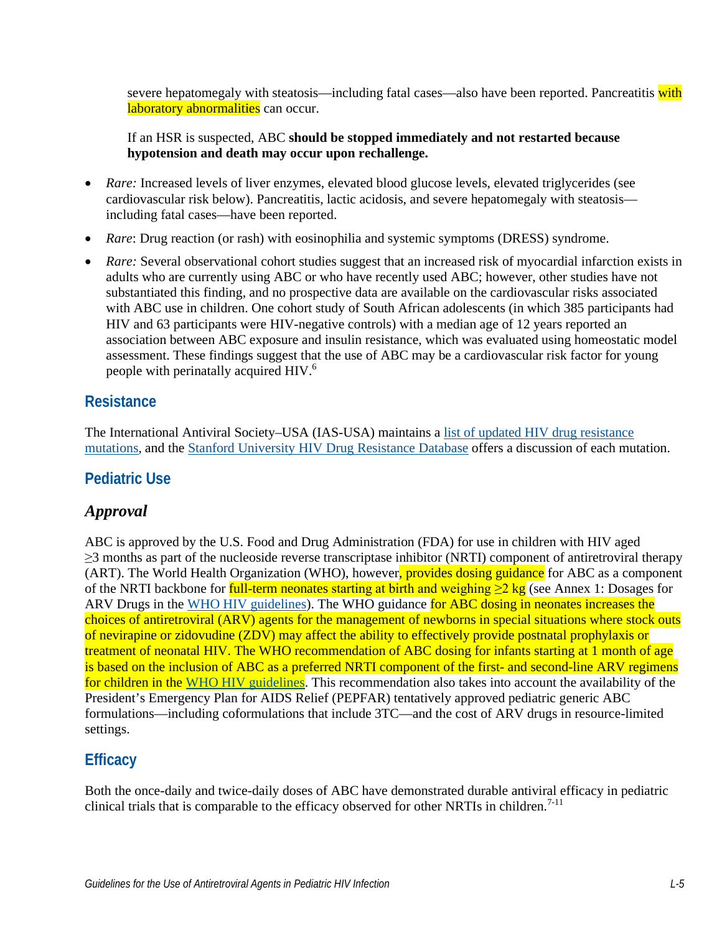severe hepatomegaly with steatosis—including fatal cases—also have been reported. Pancreatitis with laboratory abnormalities can occur.

If an HSR is suspected, ABC **should be stopped immediately and not restarted because hypotension and death may occur upon rechallenge.**

- *Rare:* Increased levels of liver enzymes, elevated blood glucose levels, elevated triglycerides (see cardiovascular risk below). Pancreatitis, lactic acidosis, and severe hepatomegaly with steatosis including fatal cases—have been reported.
- *Rare*: Drug reaction (or rash) with eosinophilia and systemic symptoms (DRESS) syndrome.
- *Rare:* Several observational cohort studies suggest that an increased risk of myocardial infarction exists in adults who are currently using ABC or who have recently used ABC; however, other studies have not substantiated this finding, and no prospective data are available on the cardiovascular risks associated with ABC use in children. One cohort study of South African adolescents (in which 385 participants had HIV and 63 participants were HIV-negative controls) with a median age of 12 years reported an association between ABC exposure and insulin resistance, which was evaluated using homeostatic model assessment. These findings suggest that the use of ABC may be a cardiovascular risk factor for young people with perinatally acquired HIV[.6](#page-7-3)

### **Resistance**

The International Antiviral Society–USA (IAS-USA) maintains a [list of updated HIV drug resistance](https://www.iasusa.org/resources/hiv-drug-resistance-mutations/)  [mutations,](https://www.iasusa.org/resources/hiv-drug-resistance-mutations/) and the [Stanford University HIV Drug Resistance Database](http://hivdb.stanford.edu/DR/) offers a discussion of each mutation.

### **Pediatric Use**

### *Approval*

ABC is approved by the U.S. Food and Drug Administration (FDA) for use in children with HIV aged ≥3 months as part of the nucleoside reverse transcriptase inhibitor (NRTI) component of antiretroviral therapy (ART). The World Health Organization (WHO), however, provides dosing guidance for ABC as a component of the NRTI backbone for full-term neonates starting at birth and weighing  $\geq 2$  kg (see Annex 1: Dosages for ARV Drugs in the [WHO HIV guidelines\)](https://www.who.int/publications/i/item/9789240031593). The WHO guidance for ABC dosing in neonates increases the choices of antiretroviral (ARV) agents for the management of newborns in special situations where stock outs of nevirapine or zidovudine (ZDV) may affect the ability to effectively provide postnatal prophylaxis or treatment of neonatal HIV. The WHO recommendation of ABC dosing for infants starting at 1 month of age is based on the inclusion of ABC as a preferred NRTI component of the first- and second-line ARV regimens for children in the [WHO HIV guidelines.](https://www.who.int/publications/i/item/9789240031593) This recommendation also takes into account the availability of the President's Emergency Plan for AIDS Relief (PEPFAR) tentatively approved pediatric generic ABC formulations—including coformulations that include 3TC—and the cost of ARV drugs in resource-limited settings.

# **Efficacy**

Both the once-daily and twice-daily doses of ABC have demonstrated durable antiviral efficacy in pediatric clinical trials that is comparable to the efficacy observed for other NRTIs in children.<sup>[7-11](#page-7-4)</sup>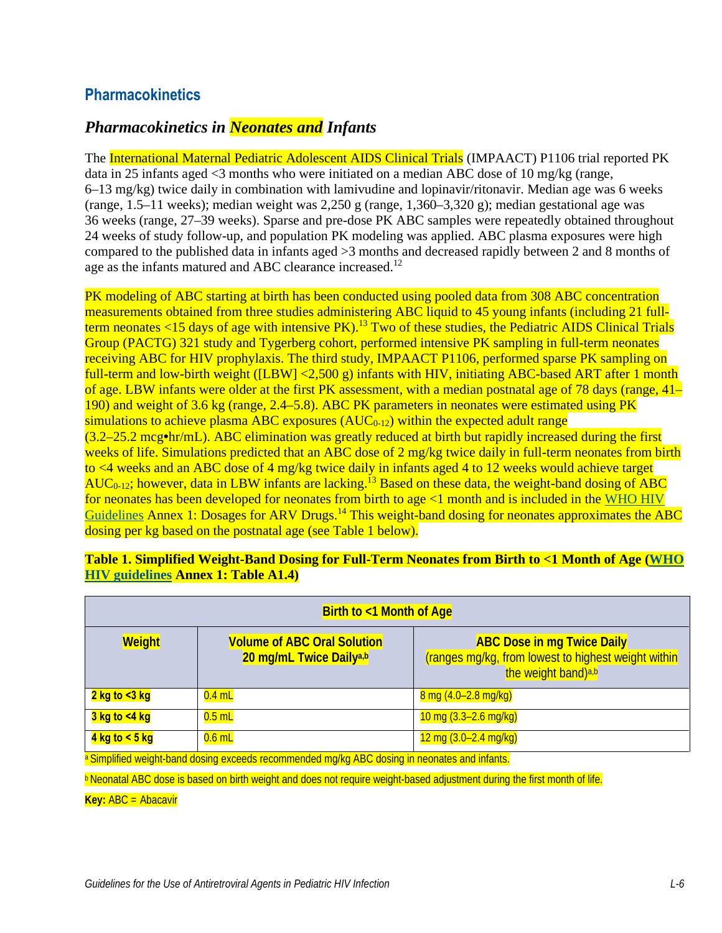### **Pharmacokinetics**

### *Pharmacokinetics in Neonates and Infants*

The International Maternal Pediatric Adolescent AIDS Clinical Trials (IMPAACT) P1106 trial reported PK data in 25 infants aged  $\leq$ 3 months who were initiated on a median ABC dose of 10 mg/kg (range, 6–13 mg/kg) twice daily in combination with lamivudine and lopinavir/ritonavir. Median age was 6 weeks (range, 1.5–11 weeks); median weight was  $2.250$  g (range, 1,360–3,320 g); median gestational age was 36 weeks (range, 27–39 weeks). Sparse and pre-dose PK ABC samples were repeatedly obtained throughout 24 weeks of study follow-up, and population PK modeling was applied. ABC plasma exposures were high compared to the published data in infants aged >3 months and decreased rapidly between 2 and 8 months of age as the infants matured and ABC clearance increased.<sup>12</sup>

PK modeling of ABC starting at birth has been conducted using pooled data from 308 ABC concentration measurements obtained from three studies administering ABC liquid to 45 young infants (including 21 fullterm neonates <15 days of age with intensive PK).<sup>13</sup> Two of these studies, the Pediatric AIDS Clinical Trials Group (PACTG) 321 study and Tygerberg cohort, performed intensive PK sampling in full-term neonates receiving ABC for HIV prophylaxis. The third study, IMPAACT P1106, performed sparse PK sampling on full-term and low-birth weight ([LBW] <2,500 g) infants with HIV, initiating ABC-based ART after 1 month of age. LBW infants were older at the first PK assessment, with a median postnatal age of 78 days (range, 41– 190) and weight of 3.6 kg (range, 2.4–5.8). ABC PK parameters in neonates were estimated using PK simulations to achieve plasma ABC exposures  $(AUC_{0-12})$  within the expected adult range (3.2–25.2 mcg**•**hr/mL). ABC elimination was greatly reduced at birth but rapidly increased during the first weeks of life. Simulations predicted that an ABC dose of 2 mg/kg twice daily in full-term neonates from birth to <4 weeks and an ABC dose of 4 mg/kg twice daily in infants aged 4 to 12 weeks would achieve target  $AUC_{0-12}$ ; however, data in LBW infants are lacking.<sup>13</sup> Based on these data, the weight-band dosing of ABC for neonates has been developed for neonates from birth to age <1 month and is included in the [WHO](https://www.who.int/publications/i/item/9789240031593) HIV [Guidelines](https://www.who.int/publications/i/item/9789240031593) Annex 1: Dosages for ARV Drugs.<sup>14</sup> This weight-band dosing for neonates approximates the ABC dosing per kg based on the postnatal age (see Table 1 below).

| <b>Birth to &lt;1 Month of Age</b> |                                                               |                                                                                                                             |  |
|------------------------------------|---------------------------------------------------------------|-----------------------------------------------------------------------------------------------------------------------------|--|
| <b>Weight</b>                      | <b>Volume of ABC Oral Solution</b><br>20 mg/mL Twice Dailya,b | <b>ABC Dose in mg Twice Daily</b><br>(ranges mg/kg, from lowest to highest weight within<br>the weight band) <sup>a,b</sup> |  |
| <mark>2 kg to &lt;3 kg</mark>      | $0.4$ mL                                                      | $8 \text{ mg} (4.0 - 2.8 \text{ mg/kg})$                                                                                    |  |
| <mark>3 kg to &lt;4 kg</mark>      | $0.5$ mL                                                      | $10 \text{ mg } (3.3 - 2.6 \text{ mg/kg})$                                                                                  |  |
| 4 kg to $<$ 5 kg                   | $0.6$ mL                                                      | $12 \text{ mg } (3.0 - 2.4 \text{ mg/kg})$                                                                                  |  |

**Table 1. Simplified Weight-Band Dosing for Full-Term Neonates from Birth to <1 Month of Age [\(WHO](https://www.who.int/publications/i/item/9789240031593)  [HIV guidelines](https://www.who.int/publications/i/item/9789240031593) Annex 1: Table A1.4)** 

a Simplified weight-band dosing exceeds recommended mg/kg ABC dosing in neonates and infants.

**b Neonatal ABC dose is based on birth weight and does not require weight-based adjustment during the first month of life.** 

**Key:** ABC = Abacavir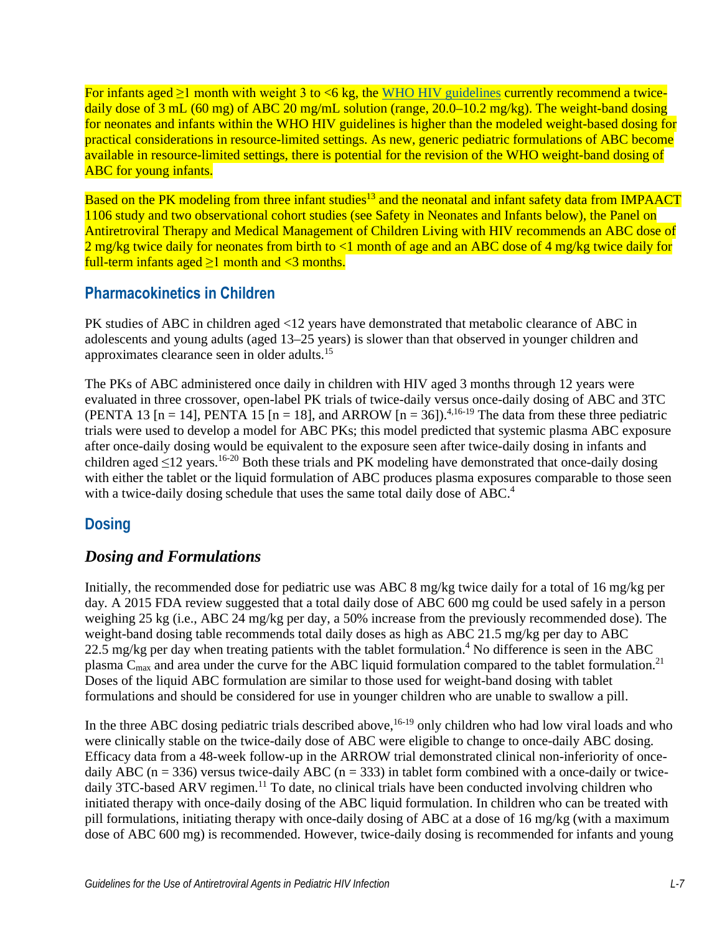For infants aged  $\geq 1$  month with weight 3 to <6 kg, the WHO [HIV guidelines](https://www.who.int/publications/i/item/9789240031593) currently recommend a twicedaily dose of 3 mL (60 mg) of ABC 20 mg/mL solution (range, 20.0–10.2 mg/kg). The weight-band dosing for neonates and infants within the WHO HIV guidelines is higher than the modeled weight-based dosing for practical considerations in resource-limited settings. As new, generic pediatric formulations of ABC become available in resource-limited settings, there is potential for the revision of the WHO weight-band dosing of ABC for young infants.

Based on the PK modeling from three infant studies<sup>13</sup> and the neonatal and infant safety data from IMPAACT 1106 study and two observational cohort studies (see Safety in Neonates and Infants below), the Panel on Antiretroviral Therapy and Medical Management of Children Living with HIV recommends an ABC dose of 2 mg/kg twice daily for neonates from birth to <1 month of age and an ABC dose of 4 mg/kg twice daily for full-term infants aged  $\geq 1$  month and <3 months.

# **Pharmacokinetics in Children**

PK studies of ABC in children aged <12 years have demonstrated that metabolic clearance of ABC in adolescents and young adults (aged 13–25 years) is slower than that observed in younger children and approximates clearance seen in older adults.[15](#page-8-3)

The PKs of ABC administered once daily in children with HIV aged 3 months through 12 years were evaluated in three crossover, open-label PK trials of twice-daily versus once-daily dosing of ABC and 3TC (PENTA 13 [n = 14], PENTA 15 [n = 18], and ARROW  $[n = 36]$ .<sup>4,[16-19](#page-8-4)</sup> The data from these three pediatric trials were used to develop a model for ABC PKs; this model predicted that systemic plasma ABC exposure after once-daily dosing would be equivalent to the exposure seen after twice-daily dosing in infants and children aged  $\leq$ 12 years.<sup>[16-20](#page-8-4)</sup> Both these trials and PK modeling have demonstrated that once-daily dosing with either the tablet or the liquid formulation of ABC produces plasma exposures comparable to those seen with a twice-daily dosing schedule that uses the same total daily dose of ABC.<sup>4</sup>

# **Dosing**

### *Dosing and Formulations*

Initially, the recommended dose for pediatric use was ABC 8 mg/kg twice daily for a total of 16 mg/kg per day. A 2015 FDA review suggested that a total daily dose of ABC 600 mg could be used safely in a person weighing 25 kg (i.e., ABC 24 mg/kg per day, a 50% increase from the previously recommended dose). The weight-band dosing table recommends total daily doses as high as ABC 21.5 mg/kg per day to ABC 22.5 mg/kg per day when treating patients with the tablet formulation.<sup>4</sup> No difference is seen in the ABC plasma  $C_{\text{max}}$  and area under the curve for the ABC liquid formulation compared to the tablet formulation.<sup>[21](#page-9-0)</sup> Doses of the liquid ABC formulation are similar to those used for weight-band dosing with tablet formulations and should be considered for use in younger children who are unable to swallow a pill.

In the three ABC dosing pediatric trials described above,<sup>16-19</sup> only children who had low viral loads and who were clinically stable on the twice-daily dose of ABC were eligible to change to once-daily ABC dosing. Efficacy data from a 48-week follow-up in the ARROW trial demonstrated clinical non-inferiority of oncedaily ABC ( $n = 336$ ) versus twice-daily ABC ( $n = 333$ ) in tablet form combined with a once-daily or twicedaily 3TC-based ARV regimen.<sup>11</sup> To date, no clinical trials have been conducted involving children who initiated therapy with once-daily dosing of the ABC liquid formulation. In children who can be treated with pill formulations, initiating therapy with once-daily dosing of ABC at a dose of 16 mg/kg (with a maximum dose of ABC 600 mg) is recommended. However, twice-daily dosing is recommended for infants and young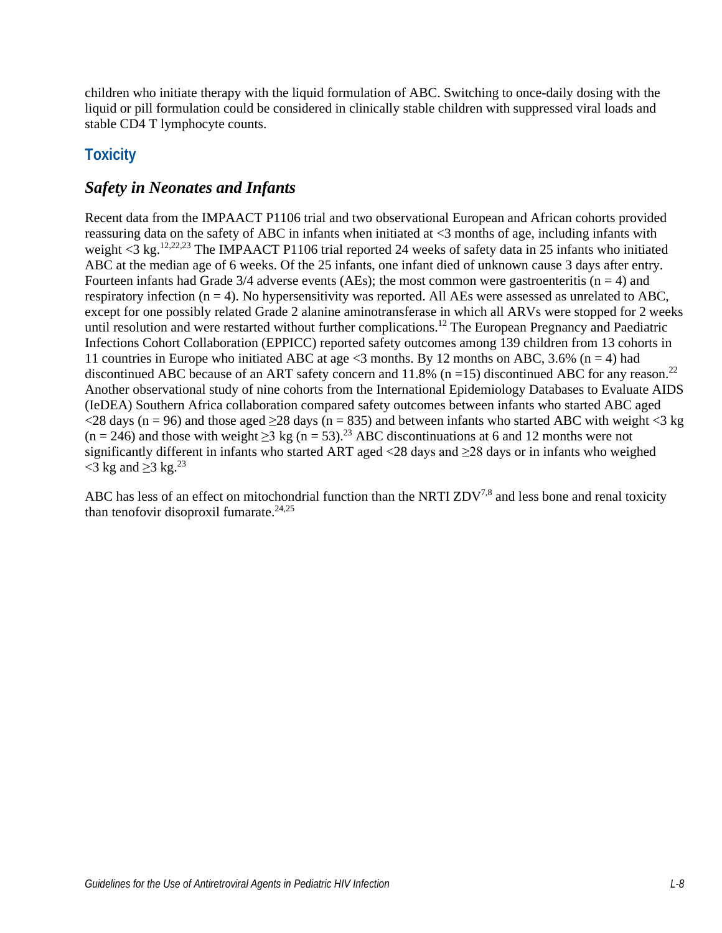children who initiate therapy with the liquid formulation of ABC. Switching to once-daily dosing with the liquid or pill formulation could be considered in clinically stable children with suppressed viral loads and stable CD4 T lymphocyte counts.

# **Toxicity**

### *Safety in Neonates and Infants*

Recent data from the IMPAACT P1106 trial and two observational European and African cohorts provided reassuring data on the safety of ABC in infants when initiated at <3 months of age, including infants with weight <3 kg.<sup>12[,22,](#page-9-1)23</sup> The IMPAACT P1106 trial reported 24 weeks of safety data in 25 infants who initiated ABC at the median age of 6 weeks. Of the 25 infants, one infant died of unknown cause 3 days after entry. Fourteen infants had Grade  $3/4$  adverse events (AEs); the most common were gastroenteritis (n = 4) and respiratory infection  $(n = 4)$ . No hypersensitivity was reported. All AEs were assessed as unrelated to ABC, except for one possibly related Grade 2 alanine aminotransferase in which all ARVs were stopped for 2 weeks until resolution and were restarted without further complications.<sup>12</sup> The European Pregnancy and Paediatric Infections Cohort Collaboration (EPPICC) reported safety outcomes among 139 children from 13 cohorts in 11 countries in Europe who initiated ABC at age  $\leq$ 3 months. By 12 months on ABC, 3.6% (n = 4) had discontinued ABC because of an ART safety concern and 11.8% ( $n = 15$ ) discontinued ABC for any reason.<sup>[22](#page-9-1)</sup> Another observational study of nine cohorts from the International Epidemiology Databases to Evaluate AIDS (IeDEA) Southern Africa collaboration compared safety outcomes between infants who started ABC aged  $\langle$ 28 days (n = 96) and those aged  $\geq$ 28 days (n = 835) and between infants who started ABC with weight  $\langle$ 3 kg  $(n = 246)$  and those with weight  $\geq 3$  kg  $(n = 53)$ .<sup>23</sup> ABC discontinuations at 6 and 12 months were not significantly different in infants who started ART aged <28 days and ≥28 days or in infants who weighed  $\langle 3 \text{ kg} \text{ and } \geq 3 \text{ kg.}^{23} \rangle$ 

ABC has less of an effect on mitochondrial function than the NRTI  $ZDV^{7,8}$  $ZDV^{7,8}$  $ZDV^{7,8}$  and less bone and renal toxicity than tenofovir disoproxil fumarate.<sup>24,[25](#page-9-4)</sup>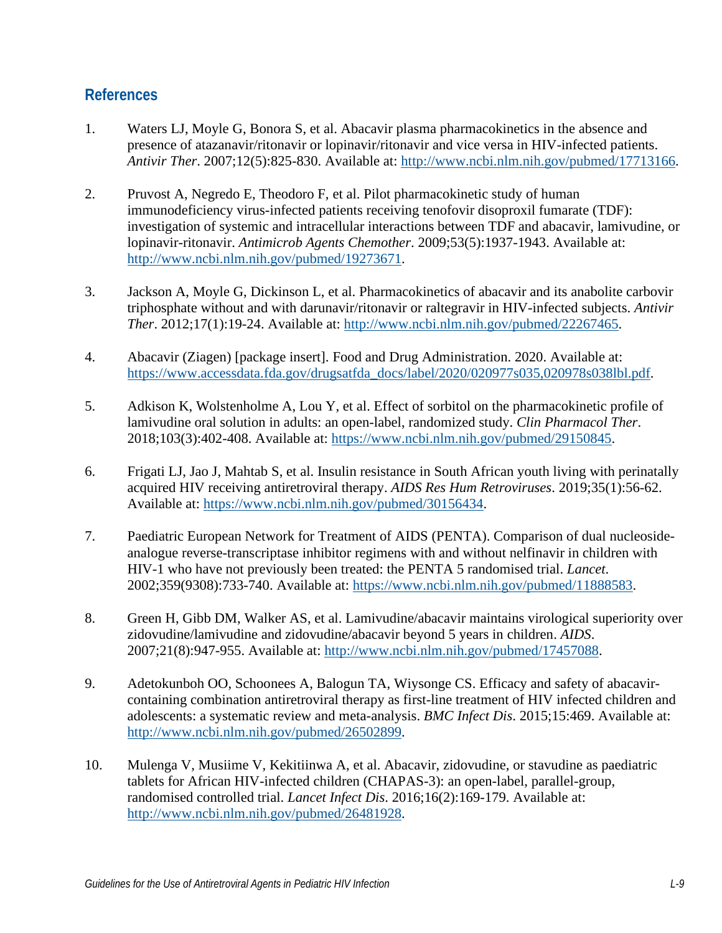### **References**

- <span id="page-7-0"></span>1. Waters LJ, Moyle G, Bonora S, et al. Abacavir plasma pharmacokinetics in the absence and presence of atazanavir/ritonavir or lopinavir/ritonavir and vice versa in HIV-infected patients. *Antivir Ther*. 2007;12(5):825-830. Available at: [http://www.ncbi.nlm.nih.gov/pubmed/17713166.](http://www.ncbi.nlm.nih.gov/pubmed/17713166)
- 2. Pruvost A, Negredo E, Theodoro F, et al. Pilot pharmacokinetic study of human immunodeficiency virus-infected patients receiving tenofovir disoproxil fumarate (TDF): investigation of systemic and intracellular interactions between TDF and abacavir, lamivudine, or lopinavir-ritonavir. *Antimicrob Agents Chemother*. 2009;53(5):1937-1943. Available at: [http://www.ncbi.nlm.nih.gov/pubmed/19273671.](http://www.ncbi.nlm.nih.gov/pubmed/19273671)
- 3. Jackson A, Moyle G, Dickinson L, et al. Pharmacokinetics of abacavir and its anabolite carbovir triphosphate without and with darunavir/ritonavir or raltegravir in HIV-infected subjects. *Antivir Ther*. 2012;17(1):19-24. Available at: [http://www.ncbi.nlm.nih.gov/pubmed/22267465.](http://www.ncbi.nlm.nih.gov/pubmed/22267465)
- <span id="page-7-1"></span>4. Abacavir (Ziagen) [package insert]. Food and Drug Administration. 2020. Available at: [https://www.accessdata.fda.gov/drugsatfda\\_docs/label/2020/020977s035,020978s038lbl.pdf.](https://www.accessdata.fda.gov/drugsatfda_docs/label/2020/020977s035,020978s038lbl.pdf)
- <span id="page-7-2"></span>5. Adkison K, Wolstenholme A, Lou Y, et al. Effect of sorbitol on the pharmacokinetic profile of lamivudine oral solution in adults: an open-label, randomized study. *Clin Pharmacol Ther*. 2018;103(3):402-408. Available at: [https://www.ncbi.nlm.nih.gov/pubmed/29150845.](https://www.ncbi.nlm.nih.gov/pubmed/29150845)
- <span id="page-7-3"></span>6. Frigati LJ, Jao J, Mahtab S, et al. Insulin resistance in South African youth living with perinatally acquired HIV receiving antiretroviral therapy. *AIDS Res Hum Retroviruses*. 2019;35(1):56-62. Available at: [https://www.ncbi.nlm.nih.gov/pubmed/30156434.](https://www.ncbi.nlm.nih.gov/pubmed/30156434)
- <span id="page-7-4"></span>7. Paediatric European Network for Treatment of AIDS (PENTA). Comparison of dual nucleosideanalogue reverse-transcriptase inhibitor regimens with and without nelfinavir in children with HIV-1 who have not previously been treated: the PENTA 5 randomised trial. *Lancet*. 2002;359(9308):733-740. Available at: [https://www.ncbi.nlm.nih.gov/pubmed/11888583.](https://www.ncbi.nlm.nih.gov/pubmed/11888583)
- <span id="page-7-5"></span>8. Green H, Gibb DM, Walker AS, et al. Lamivudine/abacavir maintains virological superiority over zidovudine/lamivudine and zidovudine/abacavir beyond 5 years in children. *AIDS*. 2007;21(8):947-955. Available at: [http://www.ncbi.nlm.nih.gov/pubmed/17457088.](http://www.ncbi.nlm.nih.gov/pubmed/17457088)
- 9. Adetokunboh OO, Schoonees A, Balogun TA, Wiysonge CS. Efficacy and safety of abacavircontaining combination antiretroviral therapy as first-line treatment of HIV infected children and adolescents: a systematic review and meta-analysis. *BMC Infect Dis*. 2015;15:469. Available at: [http://www.ncbi.nlm.nih.gov/pubmed/26502899.](http://www.ncbi.nlm.nih.gov/pubmed/26502899)
- 10. Mulenga V, Musiime V, Kekitiinwa A, et al. Abacavir, zidovudine, or stavudine as paediatric tablets for African HIV-infected children (CHAPAS-3): an open-label, parallel-group, randomised controlled trial. *Lancet Infect Dis*. 2016;16(2):169-179. Available at: [http://www.ncbi.nlm.nih.gov/pubmed/26481928.](http://www.ncbi.nlm.nih.gov/pubmed/26481928)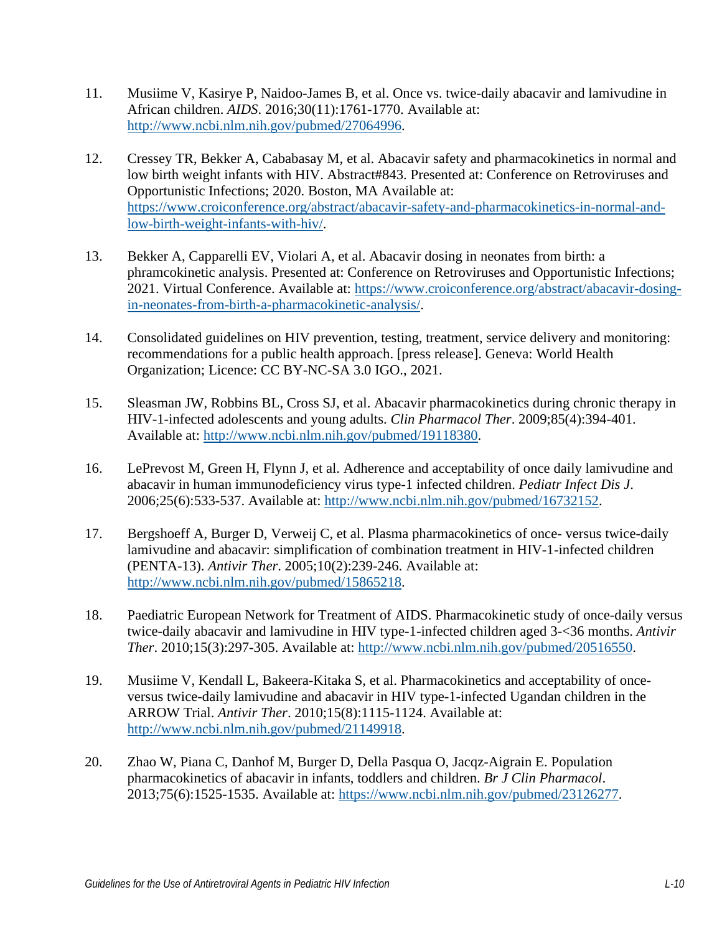- <span id="page-8-5"></span>11. Musiime V, Kasirye P, Naidoo-James B, et al. Once vs. twice-daily abacavir and lamivudine in African children. *AIDS*. 2016;30(11):1761-1770. Available at: [http://www.ncbi.nlm.nih.gov/pubmed/27064996.](http://www.ncbi.nlm.nih.gov/pubmed/27064996)
- <span id="page-8-0"></span>12. Cressey TR, Bekker A, Cababasay M, et al. Abacavir safety and pharmacokinetics in normal and low birth weight infants with HIV. Abstract#843. Presented at: Conference on Retroviruses and Opportunistic Infections; 2020. Boston, MA Available at: [https://www.croiconference.org/abstract/abacavir-safety-and-pharmacokinetics-in-normal-and](https://www.croiconference.org/abstract/abacavir-safety-and-pharmacokinetics-in-normal-and-low-birth-weight-infants-with-hiv/)[low-birth-weight-infants-with-hiv/.](https://www.croiconference.org/abstract/abacavir-safety-and-pharmacokinetics-in-normal-and-low-birth-weight-infants-with-hiv/)
- <span id="page-8-1"></span>13. Bekker A, Capparelli EV, Violari A, et al. Abacavir dosing in neonates from birth: a phramcokinetic analysis. Presented at: Conference on Retroviruses and Opportunistic Infections; 2021. Virtual Conference. Available at: [https://www.croiconference.org/abstract/abacavir-dosing](https://www.croiconference.org/abstract/abacavir-dosing-in-neonates-from-birth-a-pharmacokinetic-analysis/)[in-neonates-from-birth-a-pharmacokinetic-analysis/.](https://www.croiconference.org/abstract/abacavir-dosing-in-neonates-from-birth-a-pharmacokinetic-analysis/)
- <span id="page-8-2"></span>14. Consolidated guidelines on HIV prevention, testing, treatment, service delivery and monitoring: recommendations for a public health approach. [press release]. Geneva: World Health Organization; Licence: CC BY-NC-SA 3.0 IGO., 2021.
- <span id="page-8-3"></span>15. Sleasman JW, Robbins BL, Cross SJ, et al. Abacavir pharmacokinetics during chronic therapy in HIV-1-infected adolescents and young adults. *Clin Pharmacol Ther*. 2009;85(4):394-401. Available at: [http://www.ncbi.nlm.nih.gov/pubmed/19118380.](http://www.ncbi.nlm.nih.gov/pubmed/19118380)
- <span id="page-8-4"></span>16. LePrevost M, Green H, Flynn J, et al. Adherence and acceptability of once daily lamivudine and abacavir in human immunodeficiency virus type-1 infected children. *Pediatr Infect Dis J*. 2006;25(6):533-537. Available at: [http://www.ncbi.nlm.nih.gov/pubmed/16732152.](http://www.ncbi.nlm.nih.gov/pubmed/16732152)
- 17. Bergshoeff A, Burger D, Verweij C, et al. Plasma pharmacokinetics of once- versus twice-daily lamivudine and abacavir: simplification of combination treatment in HIV-1-infected children (PENTA-13). *Antivir Ther*. 2005;10(2):239-246. Available at: [http://www.ncbi.nlm.nih.gov/pubmed/15865218.](http://www.ncbi.nlm.nih.gov/pubmed/15865218)
- 18. Paediatric European Network for Treatment of AIDS. Pharmacokinetic study of once-daily versus twice-daily abacavir and lamivudine in HIV type-1-infected children aged 3-<36 months. *Antivir Ther*. 2010;15(3):297-305. Available at: [http://www.ncbi.nlm.nih.gov/pubmed/20516550.](http://www.ncbi.nlm.nih.gov/pubmed/20516550)
- 19. Musiime V, Kendall L, Bakeera-Kitaka S, et al. Pharmacokinetics and acceptability of onceversus twice-daily lamivudine and abacavir in HIV type-1-infected Ugandan children in the ARROW Trial. *Antivir Ther*. 2010;15(8):1115-1124. Available at: [http://www.ncbi.nlm.nih.gov/pubmed/21149918.](http://www.ncbi.nlm.nih.gov/pubmed/21149918)
- 20. Zhao W, Piana C, Danhof M, Burger D, Della Pasqua O, Jacqz-Aigrain E. Population pharmacokinetics of abacavir in infants, toddlers and children. *Br J Clin Pharmacol*. 2013;75(6):1525-1535. Available at: [https://www.ncbi.nlm.nih.gov/pubmed/23126277.](https://www.ncbi.nlm.nih.gov/pubmed/23126277)